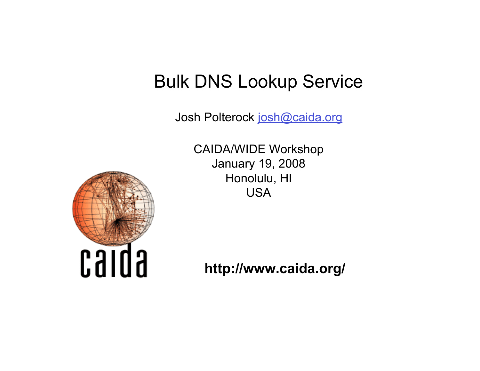Josh Polterock josh@caida.org

CAIDA/WIDE Workshop January 19, 2008 Honolulu, HI USA



**http://www.caida.org/**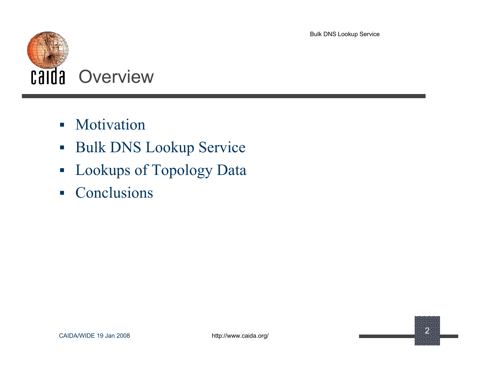

- Motivation
- **Bulk DNS Lookup Service**
- **-** Lookups of Topology Data
- Conclusions

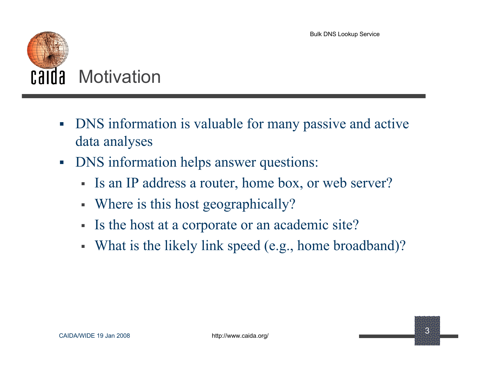

- DNS information is valuable for many passive and active data analyses
- DNS information helps answer questions:
	- Is an IP address a router, home box, or web server?
	- Where is this host geographically?
	- Is the host at a corporate or an academic site?
	- What is the likely link speed (e.g., home broadband)?

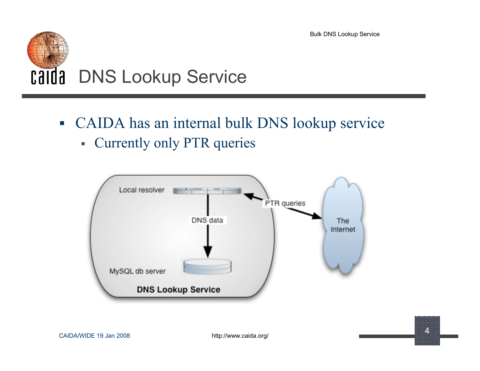

- CAIDA has an internal bulk DNS lookup service
	- Currently only PTR queries



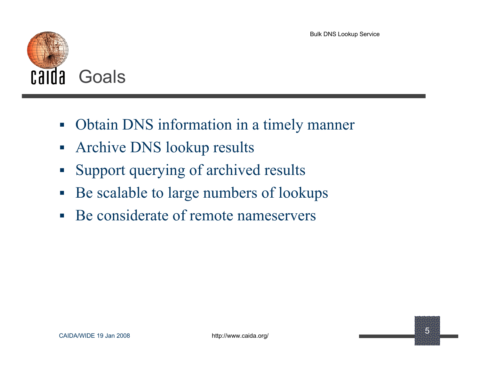

- Obtain DNS information in a timely manner
- **Archive DNS lookup results**
- Support querying of archived results
- Be scalable to large numbers of lookups
- Be considerate of remote nameservers

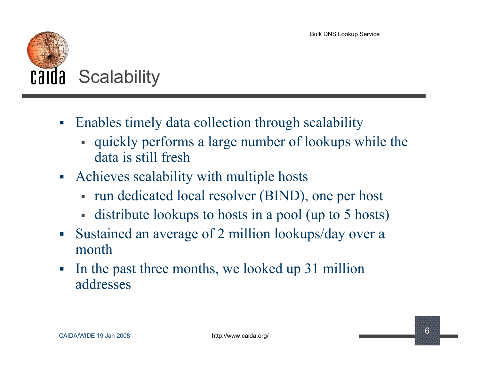

- Enables timely data collection through scalability
	- quickly performs a large number of lookups while the data is still fresh
- Achieves scalability with multiple hosts
	- run dedicated local resolver (BIND), one per host
	- distribute lookups to hosts in a pool (up to 5 hosts)
- Sustained an average of 2 million lookups/day over a month
- In the past three months, we looked up 31 million addresses

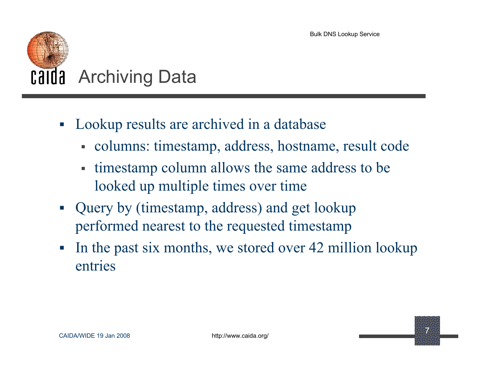

- Lookup results are archived in a database
	- columns: timestamp, address, hostname, result code
	- timestamp column allows the same address to be looked up multiple times over time
- Query by (timestamp, address) and get lookup performed nearest to the requested timestamp
- In the past six months, we stored over 42 million lookup entries

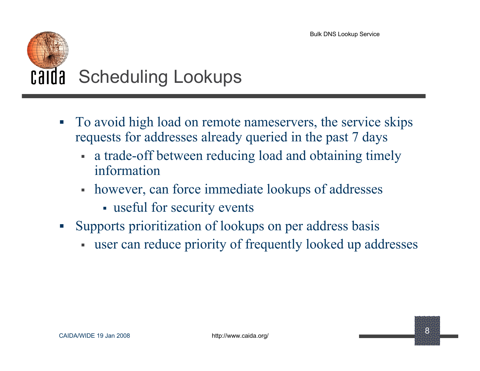# Calda Scheduling Lookups

- To avoid high load on remote nameservers, the service skips requests for addresses already queried in the past 7 days
	- a trade-off between reducing load and obtaining timely information
	- however, can force immediate lookups of addresses
		- useful for security events
- Supports prioritization of lookups on per address basis
	- user can reduce priority of frequently looked up addresses

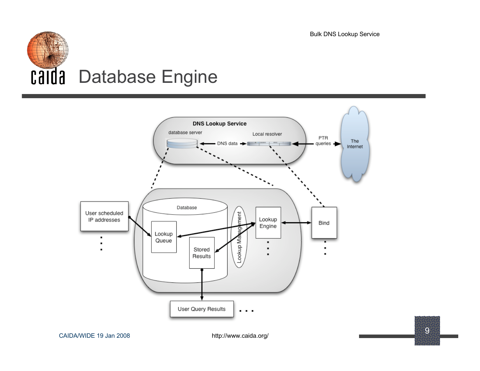



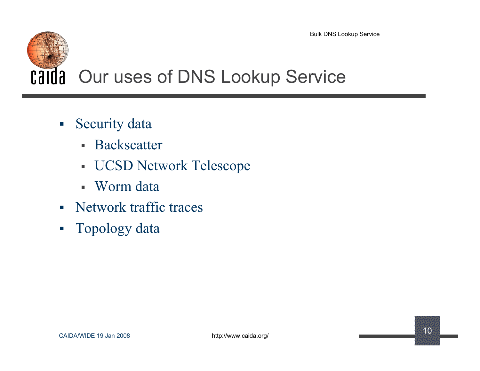# Calda Our uses of DNS Lookup Service

- **Security data** 
	- **Backscatter**
	- UCSD Network Telescope
	- Worm data
- Network traffic traces
- **Topology data**

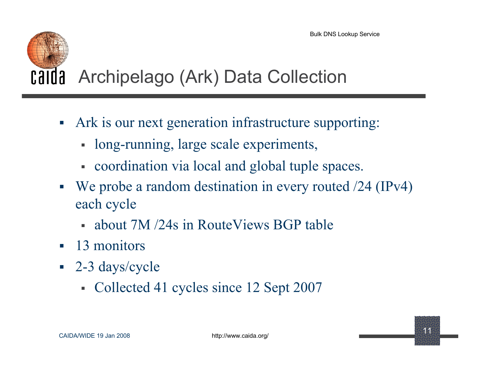

### Calda Archipelago (Ark) Data Collection

- Ark is our next generation infrastructure supporting:
	- long-running, large scale experiments,
	- coordination via local and global tuple spaces.
- We probe a random destination in every routed /24 (IPv4) each cycle
	- about 7M /24s in RouteViews BGP table
- 13 monitors
- 2-3 days/cycle
	- Collected 41 cycles since 12 Sept 2007

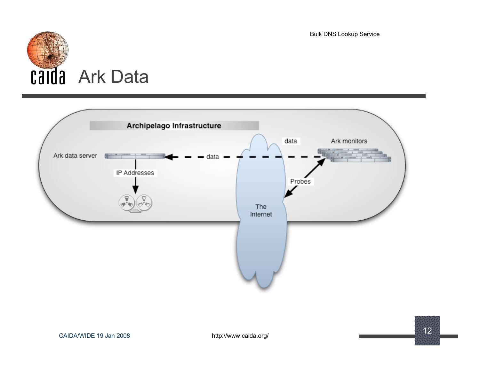



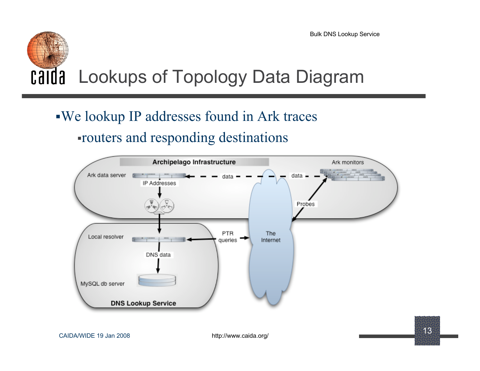### Calda Lookups of Topology Data Diagram

#### We lookup IP addresses found in Ark traces routers and responding destinations



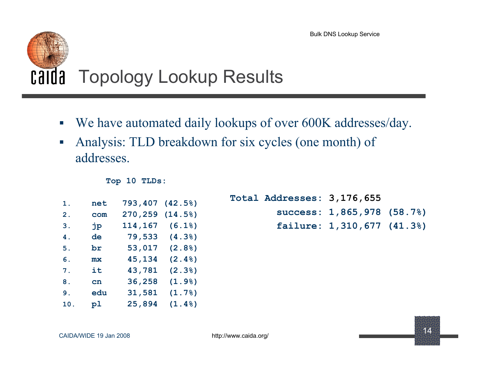## Calda Topology Lookup Results

- We have automated daily lookups of over 600K addresses/day.
- Analysis: TLD breakdown for six cycles (one month) of addresses.

|  |  | Top 10 TLDs: |
|--|--|--------------|
|--|--|--------------|

| 1.  | net | 793,407 | (42.5) |
|-----|-----|---------|--------|
| 2.  | com | 270,259 | (14.5) |
| 3.  | jр  | 114,167 | (6.18) |
| 4.  | de  | 79,533  | (4.38) |
| 5.  | br  | 53,017  | (2.8)  |
| 6.  | mx  | 45,134  | (2.4%) |
| 7.  | it  | 43,781  | (2.3)  |
| 8.  | cn  | 36,258  | (1.9)  |
| 9.  | edu | 31,581  | (1.7)  |
| 10. | p1  | 25,894  | (1.4%) |

**Total Addresses: 3,176,655 success: 1,865,978 (58.7%) failure: 1,310,677 (41.3%)**

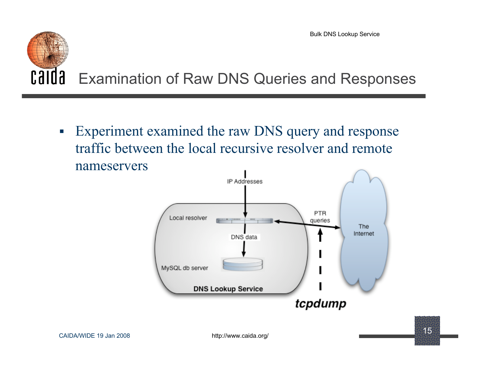#### calda Examination of Raw DNS Queries and Responses

 Experiment examined the raw DNS query and response traffic between the local recursive resolver and remote nameservers.

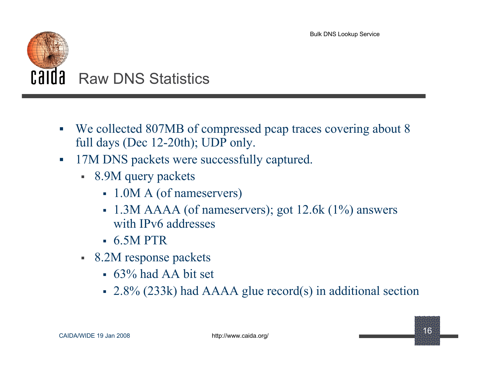

- We collected 807MB of compressed pcap traces covering about 8 full days (Dec 12-20th); UDP only.
- 17M DNS packets were successfully captured.
	- 8.9M query packets
		- 1.0M A (of nameservers)
		- $-1.3M$  AAAA (of nameservers); got 12.6k (1%) answers with IPv6 addresses
		- $-6.5M$  PTR
	- 8.2M response packets
		- $-63\%$  had AA bit set
		- 2.8% (233k) had AAAA glue record(s) in additional section

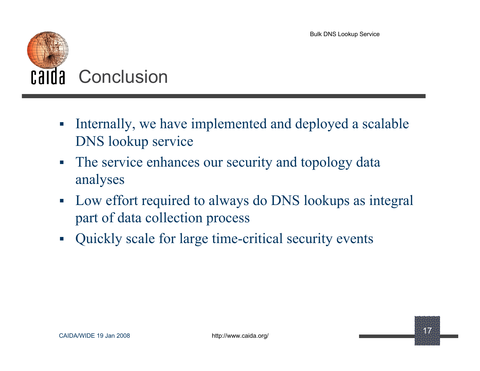

- Internally, we have implemented and deployed a scalable DNS lookup service
- The service enhances our security and topology data analyses
- Low effort required to always do DNS lookups as integral part of data collection process
- Quickly scale for large time-critical security events

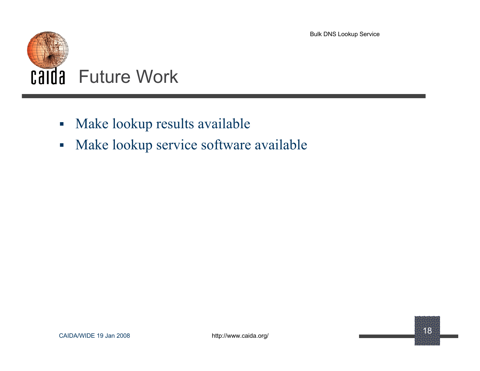

- Make lookup results available
- **Make lookup service software available**